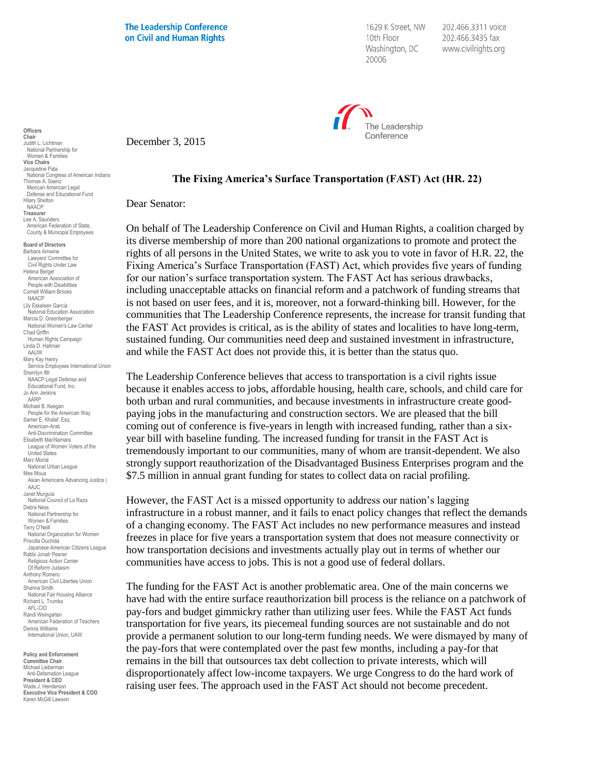**The Leadership Conference** on Civil and Human Rights

1629 K Street, NW 10th Floor Washington, DC 20006

202.466.3311 voice 202.466.3435 fax www.civilrights.org



December 3, 2015

## **Officers Chair** Judith L. Lichtman National Partnership for Women & Families **Vice Chairs** Jacqueline Pata National Congress of American Indians Thomas A. Saenz Mexican American Legal Defense and Educational Fund Hilary Shelton NAACP **Treasurer** Lee A. Saunders American Federation of State, County & Municipal Employees

**Board of Directors** Barbara Arnwine Lawyers' Committee for Civil Rights Under Law Helena Berger American Association of People with Disabilities Cornell William Brooks NAACP Lily Eskelsen García National Education Association Marcia D. Greenberger National Women's Law Center Chad Griffin Human Rights Campaign Linda D. Hallman AAUW Mary Kay Henry Service Employees International Union Sherrilyn Ifill NAACP Legal Defense and Educational Fund, Inc. Jo Ann Jenkins AARP Michael B. Keegan People for the American Way Samer E. Khalaf, Esq. American-Arab Anti-Discrimination Committee Elisabeth MacNamara League of Women Voters of the United States Marc Morial National Urban League Mee Moua Asian Americans Advancing Justice | AAJC. Janet Murguía National Council of La Raza Debra Ness National Partnership for Women & Families Terry O'Neill National Organization for Women Priscilla Ouchida Japanese American Citizens League Rabbi Jonah Pesner Religious Action Center Of Reform Judaism Anthony Romero American Civil Liberties Union Shanna Smith National Fair Housing Alliance Richard L. Trumka AFL-CIO Randi Weingarten American Federation of Teachers Dennis Williams International Union, UAW

**Policy and Enforcement Committee Chair** Michael Lieberman Anti-Defamation League **President & CEO** .seasin a s⊑s<br>/ade J. Henderson **Executive Vice President & COO** Karen McGill Lawson

## **The Fixing America's Surface Transportation (FAST) Act (HR. 22)**

Dear Senator:

On behalf of The Leadership Conference on Civil and Human Rights, a coalition charged by its diverse membership of more than 200 national organizations to promote and protect the rights of all persons in the United States, we write to ask you to vote in favor of H.R. 22, the Fixing America's Surface Transportation (FAST) Act, which provides five years of funding for our nation's surface transportation system. The FAST Act has serious drawbacks, including unacceptable attacks on financial reform and a patchwork of funding streams that is not based on user fees, and it is, moreover, not a forward-thinking bill. However, for the communities that The Leadership Conference represents, the increase for transit funding that the FAST Act provides is critical, as is the ability of states and localities to have long-term, sustained funding. Our communities need deep and sustained investment in infrastructure, and while the FAST Act does not provide this, it is better than the status quo.

The Leadership Conference believes that access to transportation is a civil rights issue because it enables access to jobs, affordable housing, health care, schools, and child care for both urban and rural communities, and because investments in infrastructure create goodpaying jobs in the manufacturing and construction sectors. We are pleased that the bill coming out of conference is five-years in length with increased funding, rather than a sixyear bill with baseline funding. The increased funding for transit in the FAST Act is tremendously important to our communities, many of whom are transit-dependent. We also strongly support reauthorization of the Disadvantaged Business Enterprises program and the \$7.5 million in annual grant funding for states to collect data on racial profiling.

However, the FAST Act is a missed opportunity to address our nation's lagging infrastructure in a robust manner, and it fails to enact policy changes that reflect the demands of a changing economy. The FAST Act includes no new performance measures and instead freezes in place for five years a transportation system that does not measure connectivity or how transportation decisions and investments actually play out in terms of whether our communities have access to jobs. This is not a good use of federal dollars.

The funding for the FAST Act is another problematic area. One of the main concerns we have had with the entire surface reauthorization bill process is the reliance on a patchwork of pay-fors and budget gimmickry rather than utilizing user fees. While the FAST Act funds transportation for five years, its piecemeal funding sources are not sustainable and do not provide a permanent solution to our long-term funding needs. We were dismayed by many of the pay-fors that were contemplated over the past few months, including a pay-for that remains in the bill that outsources tax debt collection to private interests, which will disproportionately affect low-income taxpayers. We urge Congress to do the hard work of raising user fees. The approach used in the FAST Act should not become precedent.